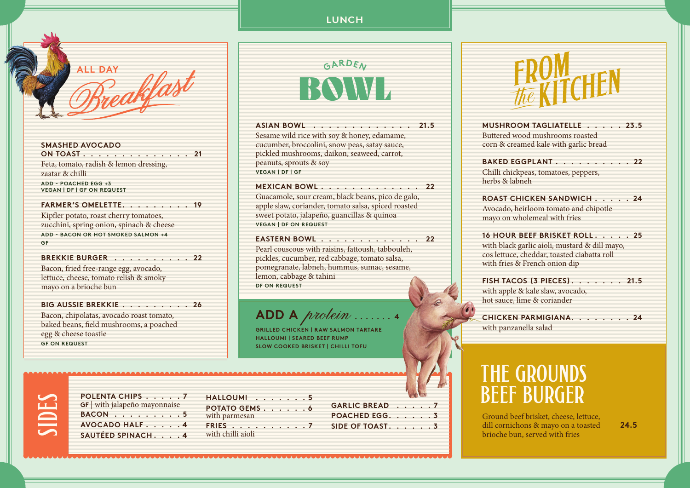**LUNCH**



**SMASHED AVOCADO ON TOAST. . . . . . . . . . . . . . 21** Feta, tomato, radish & lemon dressing, zaatar & chilli **ADD - POACHED EGG +3 VEGAN | DF | GF ON REQUEST FARMER'S OMELETTE . . . . . . . . .19**

Kipfler potato, roast cherry tomatoes, zucchini, spring onion, spinach & cheese **ADD - BACON OR HOT SMOKED SALMON +4 GF**

**BREKKIE BURGER . . . . . . . . . 22** Bacon, fried free-range egg, avocado, lettuce, cheese, tomato relish & smoky

mayo on a brioche bun

**BIG AUSSIE BREKKIE . . . . . . . . 26** Bacon, chipolatas, avocado roast tomato,

baked beans, field mushrooms, a poached egg & cheese toastie **GF ON REQUEST**

**GARDEN**  $\bf BHML$ 

**ASIAN BOWL ............ 21.5** Sesame wild rice with soy & honey, edamame, cucumber, broccolini, snow peas, satay sauce, pickled mushrooms, daikon, seaweed, carrot, peanuts, sprouts & soy **VEGAN | DF | GF**

**MEXICAN BOWL 22** Guacamole, sour cream, black beans, pico de galo, apple slaw, coriander, tomato salsa, spiced roasted sweet potato, jalapeño, guancillas & quinoa **VEGAN | DF ON REQUEST**

**EASTERN BOWL 22** Pearl couscous with raisins, fattoush, tabbouleh, pickles, cucumber, red cabbage, tomato salsa, pomegranate, labneh, hummus, sumac, sesame, lemon, cabbage & tahini **DF ON REQUEST**

## **ADD A** *protein*

**GRILLED CHICKEN | RAW SALMON TARTARE HALLOUMI | SEARED BEEF RUMP SLOW COOKED BRISKET | CHILLI TOFU**

**MUSHROOM TAGLIATELLE 23.5** Buttered wood mushrooms roasted corn & creamed kale with garlic bread **BAKED EGGPLANT . . . . . . . . . 22** Chilli chickpeas, tomatoes, peppers, herbs & labneh

**ROAST CHICKEN SANDWICH . . . . 24** Avocado, heirloom tomato and chipotle mayo on wholemeal with fries

**16 HOUR BEEF BRISKET ROLL . . . . .25** with black garlic aioli, mustard & dill mayo, cos lettuce, cheddar, toasted ciabatta roll with fries & French onion dip

**FISH TACOS (3 PIECES) . . . . . . .21.5** with apple & kale slaw, avocado, hot sauce, lime & coriander

**CHICKEN PARMIGIANA . . . . . . . .24** with panzanella salad

## THE GROUNDS beef burger

Ground beef brisket, cheese, lettuce, dill cornichons & mayo on a toasted **24.5** brioche bun, served with fries

| <b>POLE</b> |
|-------------|
| $GF$ $N$    |
| <b>BACC</b> |
| <b>AVO</b>  |
| <b>SAIT</b> |

| POLENTA CHIPS 7                    |  |
|------------------------------------|--|
| <b>GF</b> with jalapeño mayonnaise |  |
| $BACON$ ,,,,,,,,,5                 |  |
| AVOCADO HALF 4                     |  |
| SAUTÉED SPINACH. 4                 |  |
|                                    |  |

| HALLOUMI5                       |  |  |  |
|---------------------------------|--|--|--|
| POTATO GEMS 6                   |  |  |  |
| with parmesan<br><b>FRIES</b> 7 |  |  |  |
| with chilli aioli               |  |  |  |

**GARLIC BREAD 7 POACHED EGG . . . . . .3 SIDE OF TOAST. . . . . . 3**